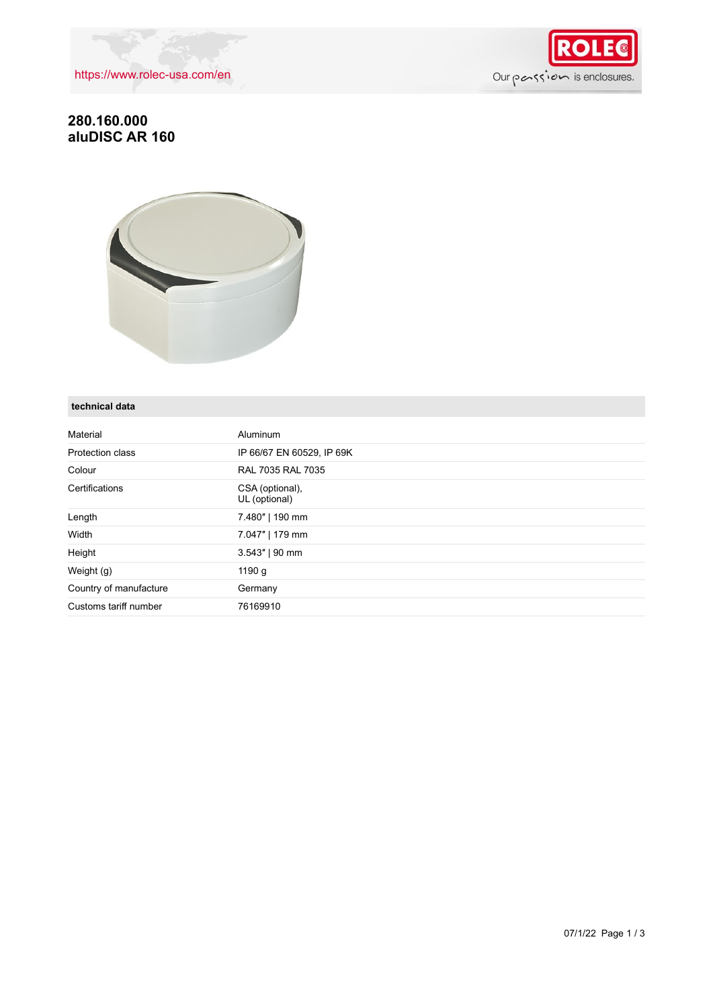

## **280.160.000 aluDISC AR 160**



#### **technical data**

| Material               | Aluminum                         |
|------------------------|----------------------------------|
| Protection class       | IP 66/67 EN 60529, IP 69K        |
| Colour                 | RAL 7035 RAL 7035                |
| Certifications         | CSA (optional),<br>UL (optional) |
| Length                 | 7.480"   190 mm                  |
| Width                  | 7.047"   179 mm                  |
| Height                 | $3.543''$   90 mm                |
| Weight (g)             | 1190 g                           |
| Country of manufacture | Germany                          |
| Customs tariff number  | 76169910                         |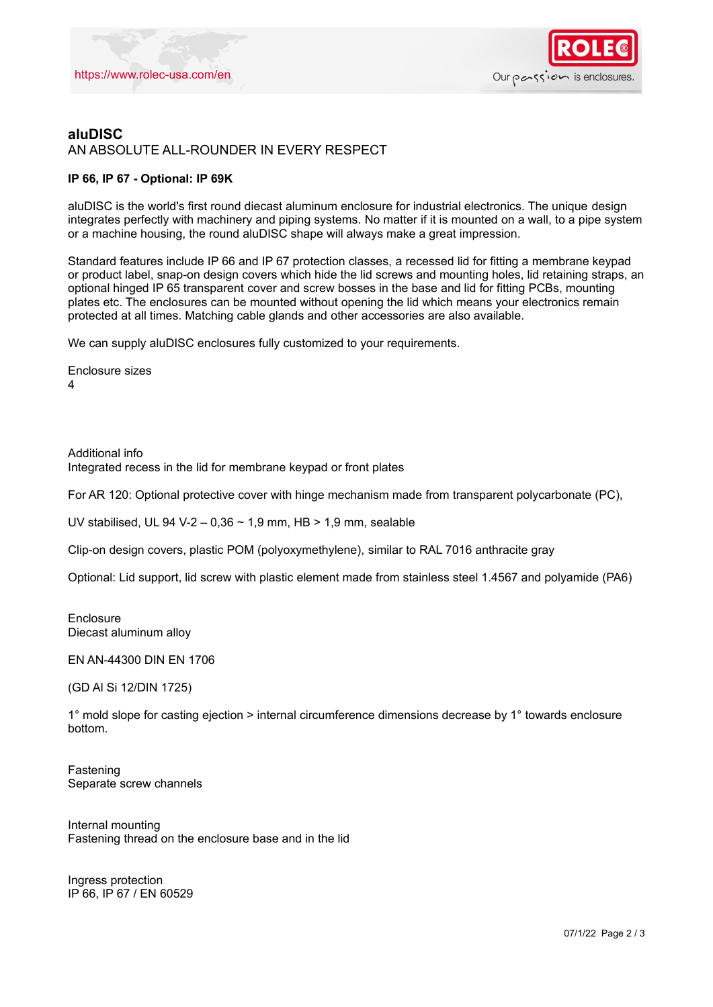

## **aluDISC** AN ABSOLUTE ALL-ROUNDER IN EVERY RESPECT

### **IP 66, IP 67 - Optional: IP 69K**

aluDISC is the world's first round diecast aluminum enclosure for industrial electronics. The unique design integrates perfectly with machinery and piping systems. No matter if it is mounted on a wall, to a pipe system or a machine housing, the round aluDISC shape will always make a great impression.

Standard features include IP 66 and IP 67 protection classes, a recessed lid for fitting a membrane keypad or product label, snap-on design covers which hide the lid screws and mounting holes, lid retaining straps, an optional hinged IP 65 transparent cover and screw bosses in the base and lid for fitting PCBs, mounting plates etc. The enclosures can be mounted without opening the lid which means your electronics remain protected at all times. Matching cable glands and other accessories are also available.

We can supply aluDISC enclosures fully customized to your requirements.

Enclosure sizes 4

Additional info Integrated recess in the lid for membrane keypad or front plates

For AR 120: Optional protective cover with hinge mechanism made from transparent polycarbonate (PC),

UV stabilised, UL 94 V-2 – 0,36 ~ 1,9 mm, HB > 1,9 mm, sealable

Clip-on design covers, plastic POM (polyoxymethylene), similar to RAL 7016 anthracite gray

Optional: Lid support, lid screw with plastic element made from stainless steel 1.4567 and polyamide (PA6)

**Enclosure** Diecast aluminum alloy

EN AN-44300 DIN EN 1706

(GD Al Si 12/DIN 1725)

1° mold slope for casting ejection > internal circumference dimensions decrease by 1° towards enclosure bottom.

Fastening Separate screw channels

Internal mounting Fastening thread on the enclosure base and in the lid

Ingress protection IP 66, IP 67 / EN 60529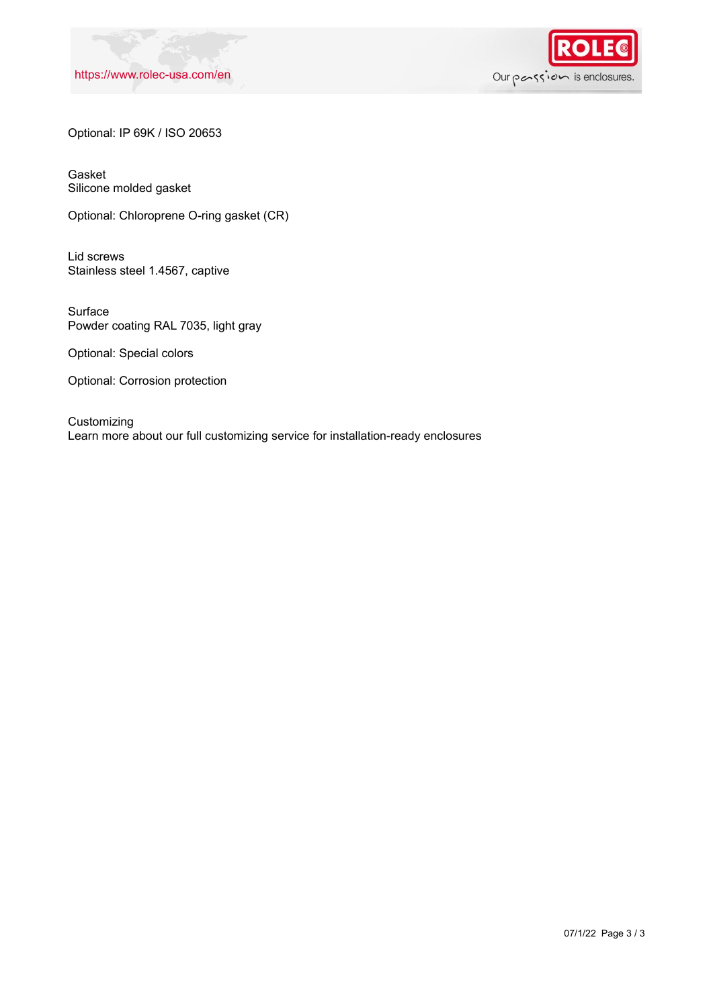



Optional: IP 69K / ISO 20653

Gasket Silicone molded gasket

Optional: Chloroprene O-ring gasket (CR)

Lid screws Stainless steel 1.4567, captive

Surface Powder coating RAL 7035, light gray

Optional: Special colors

Optional: Corrosion protection

**Customizing** Learn more about our full customizing service for installation-ready enclosures